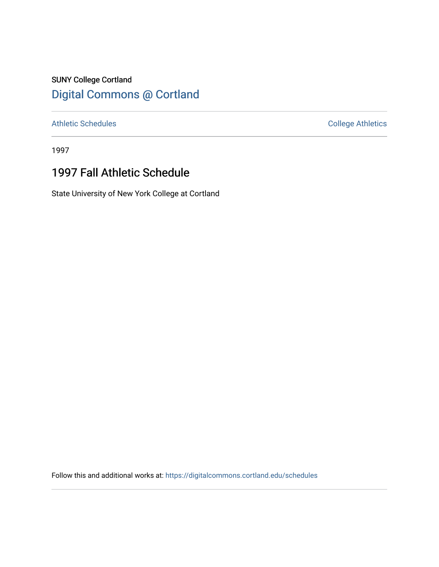## SUNY College Cortland [Digital Commons @ Cortland](https://digitalcommons.cortland.edu/)

[Athletic Schedules](https://digitalcommons.cortland.edu/schedules) **College Athletics** College Athletics

1997

## 1997 Fall Athletic Schedule

State University of New York College at Cortland

Follow this and additional works at: [https://digitalcommons.cortland.edu/schedules](https://digitalcommons.cortland.edu/schedules?utm_source=digitalcommons.cortland.edu%2Fschedules%2F68&utm_medium=PDF&utm_campaign=PDFCoverPages)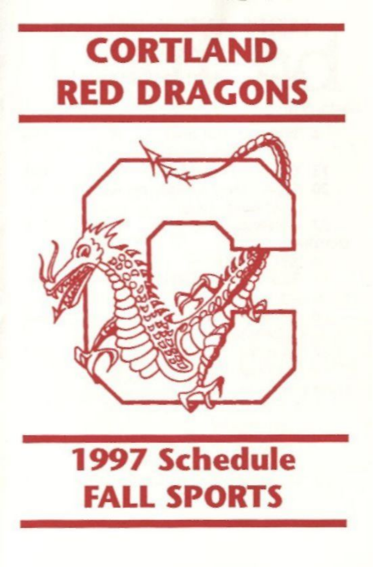# CORTLAND RED DRAGONS



## 1997 Schedule FALL SPORTS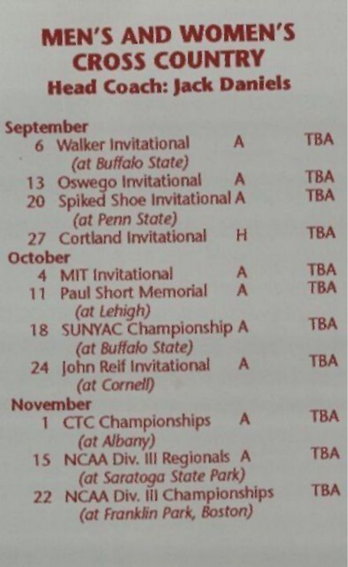#### MEN'S AND WOMEN'S CROSS COUNTRY **Head Coach: )ack Daniels**

| September |                                |   |            |
|-----------|--------------------------------|---|------------|
|           | 6 Walker Invitational          | A | <b>TBA</b> |
|           | (at Buffalo State)             |   |            |
|           | 13 Oswego Invitational         | A | <b>TBA</b> |
|           | 20 Spiked Shoe Invitational A  |   | <b>TBA</b> |
|           | (at Penn State)                |   |            |
|           | 27 Cortland Invitational       | н | <b>TBA</b> |
| October   |                                |   |            |
|           | 4 MIT Invitational             | A | <b>TBA</b> |
| 11        | <b>Paul Short Memorial</b>     | A | <b>TBA</b> |
|           | (at Lehigh)                    |   |            |
|           | 18 SUNYAC Championship A       |   | <b>TBA</b> |
|           | (at Buffalo State)             |   |            |
|           | 24 john Reif Invitational      | A | <b>TBA</b> |
|           | (at Cornell)                   |   |            |
|           | November                       |   |            |
|           | 1 CTC Championships            | A | <b>TBA</b> |
|           | (at Albany)                    |   |            |
|           | 15 NCAA Div. III Regionals A   |   | <b>TBA</b> |
|           | (at Saratoga State Park)       |   |            |
|           | 22 NCAA Div. III Championships |   | TBA        |
|           | (at Franklin Park, Boston)     |   |            |
|           |                                |   |            |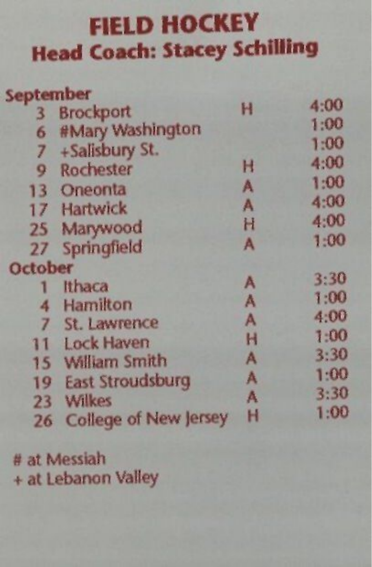#### FIELD HOCKEY **Head Coach: Stacey Schilling**

| September               |                              |   |      |
|-------------------------|------------------------------|---|------|
| $\overline{\mathbf{3}}$ | <b>Brockport</b>             | н | 4:00 |
| 6                       | #Mary Washington             |   | 1:00 |
| 7                       | +Salisbury St.               |   | 1:00 |
| 9                       | <b>Rochester</b>             | н | 4:00 |
| 13                      | Oneonta                      | A | 1:00 |
|                         | 17 Hartwick                  | A | 4:00 |
| $25 -$                  | Marywood                     | H | 4:00 |
| 27                      | Springfield                  | A | 1:00 |
| October                 |                              |   |      |
|                         | Ithaca                       | A | 3:30 |
| 4                       | Hamilton                     | A | 1:00 |
| 7                       | St. Lawrence                 | A | 4:00 |
| 11                      | <b>Lock Haven</b>            | Н | 1:00 |
| 15                      | <b>William Smith</b>         | A | 3:30 |
| 19                      | <b>East Stroudsburg</b>      | A | 1:00 |
| 23                      | Wilkes                       | A | 3:30 |
|                         | <b>College of New Jersey</b> | н | 1:00 |
| 26                      |                              |   |      |

# at Messiah + at Lebanon Valley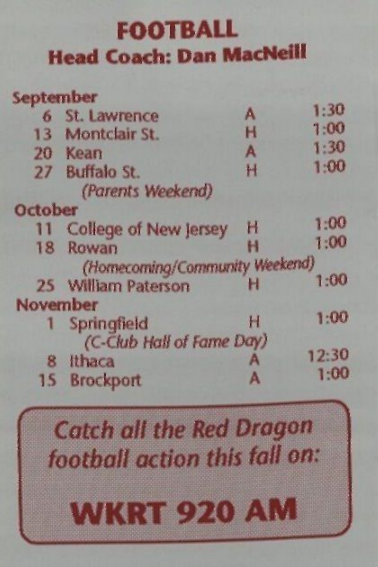#### FOOTBALL **Head Coach: Dan MacNeill**

| September      |                                |   |       |
|----------------|--------------------------------|---|-------|
|                | 6 St. Lawrence                 | Α | 1:30  |
|                | 13 Montclair St.               | н | 1:00  |
|                | 20 Kean                        | A | 1:30  |
|                | 27 Buffalo St.                 | H | 1:00  |
|                | (Parents Weekend)              |   |       |
| <b>October</b> |                                |   |       |
| п              | College of New Jersey          | Н | 1:00  |
| 18             | Rowan                          | н | 1:00  |
|                | (Homecoming/Community Weekend) |   |       |
|                | 25 William Paterson            | н | 1:00  |
| November       |                                |   |       |
| ٦              | Springfield                    | н | 1:00  |
|                | (C-Club Hall of Fame Day)      |   |       |
| 8              | Ithaca                         | А | 12:30 |
| 15             | <b>Brockport</b>               |   | 1:00  |

**Catch all the Red Dragon** *faotbofl action this foti om*  **WKRT 920 AM** 

V — in the contract of the contract of the contract of the contract of the contract of the contract of the contract of the contract of the contract of the contract of the contract of the contract of the contract of the con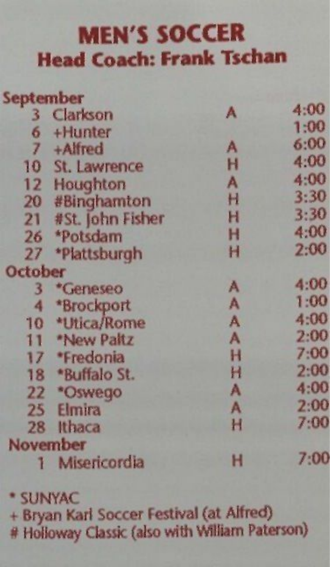#### MEN'S SOCCER Head Coach: Frank Tschan

| September               |                     |   |      |
|-------------------------|---------------------|---|------|
|                         | 3 Clarkson          | А | 4:00 |
|                         | 6 +Hunter           |   | 1:00 |
|                         | 7 +Alfred           | A | 6:00 |
|                         | 10 St. Lawrence     | н | 4:00 |
|                         | 12 Houghton         | A | 4:00 |
|                         | 20 #Binghamton      | H | 3:30 |
|                         | 21 #St. John Fisher | Н | 3:30 |
| 26                      | *Potsdam            | H | 4:00 |
| 27                      | *Plattsburgh        | H | 2:00 |
| <b>October</b>          |                     |   |      |
| 3 <sup>1</sup>          | *Geneseo            | A | 4:00 |
| $\overline{\mathbf{4}}$ | *Brockport          | A | 1:00 |
|                         | 10 *Utica/Rome      | A | 4:00 |
|                         | 11 *New Paltz       | A | 2:00 |
|                         | 17 *Fredonia        | H | 7:00 |
|                         | 18 *Buffalo St.     | H | 2:00 |
| $22^{2}$                | *Oswego             | A | 4:00 |
| $25 -$                  | Elmira              | A | 2:00 |
|                         | 28 Ithaca           | H | 7:00 |
|                         | <b>November</b>     |   |      |
| T                       | Misericordia        | н | 7:00 |

\* SUNYAC + Bryan Karl Soccer Festival (at Alfred) # Holloway Classic (also with William Paterson)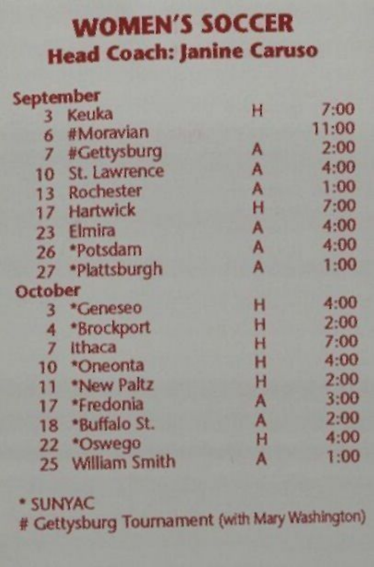#### **WOMEN'S SOCCER**  Head Coach: Janine Caruso

| September        |                      |   |       |
|------------------|----------------------|---|-------|
| 3                | Keuka                | н | 7:00  |
| 6                | #Moravian            |   | 11:00 |
| $\overline{7}$   | #Gettysburg          | A | 2:00  |
| 10               | St. Lawrence         | A | 4:00  |
| 13               | Rochester            | A | 1:00  |
| 17               | Hartwick             | н | 7:00  |
| $23 -$           | Elmira               | A | 4:00  |
| 26               | *Potsdam             | A | 4:00  |
| 27               | *Plattsburgh         | A | 1:00  |
| October          |                      |   |       |
| $\overline{3}$   | *Geneseo             | н | 4:00  |
| 4                | *Brockport           | н | 2:00  |
| $\overline{I}$   | Ithaca               | н | 7:00  |
| 10 <sup>10</sup> | *Oneonta             | н | 4:00  |
| 11               | *New Paltz           | н | 2:00  |
| 17 <sup>7</sup>  | *Fredonia            | A | 3:00  |
| 18               | *Buffalo St.         | A | 2:00  |
| $22^{2}$         | *Oswego              | H | 4:00  |
| 25               | <b>William Smith</b> | A | 1:00  |

\* SUNYAC # Gettysburg Tournament (with Mary Washington)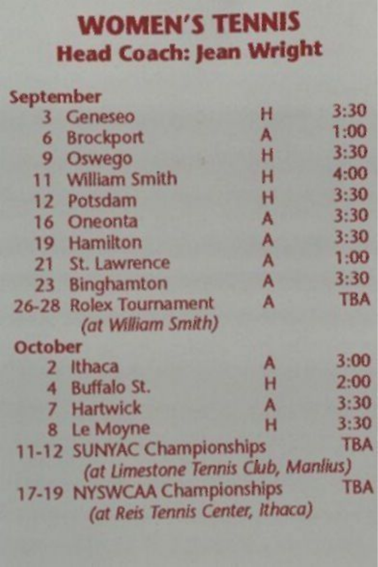#### WOMEN'S TENNIS Head Coach: Jean Wright

| September      |                                                                |   |            |
|----------------|----------------------------------------------------------------|---|------------|
| $\overline{3}$ | Geneseo                                                        | н | 3:30       |
| 6              | <b>Brockport</b>                                               | A | 1:00       |
| 9              | Oswego                                                         | н | 3:30       |
|                | 11 William Smith                                               | н | 4:00       |
|                | 12 Potsdam                                                     | н | 3:30       |
|                | 16 Oneonta                                                     | A | 3:30       |
|                | 19 Hamilton                                                    | A | 3:30       |
|                | 21 St. Lawrence                                                | A | 1:00       |
|                | 23 Binghamton                                                  | A | 3:30       |
|                | 26-28 Rolex Tournament                                         | A | <b>TBA</b> |
|                | (at William Smith)                                             |   |            |
| <b>October</b> |                                                                |   |            |
| $\overline{2}$ | <b>Ithaca</b>                                                  | A | 3:00       |
| 4              | <b>Buffalo St.</b>                                             | н | 2:00       |
| $\overline{7}$ | <b>Hartwick</b>                                                | A | 3:30       |
| 8              | Le Moyne                                                       | н | 3:30       |
|                | 11-12 SUNYAC Championships                                     |   | <b>TBA</b> |
|                | (at Limestone Tennis Club, Manlius)                            |   |            |
|                | 17-19 NYSWCAA Championships<br>(at Reis Tennis Center, Ithaca) |   | <b>TBA</b> |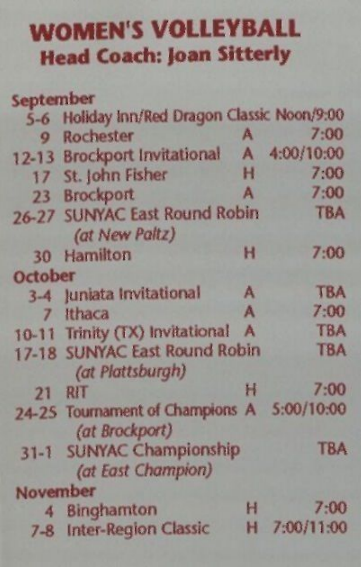#### WOMEN'S VOLLEYBALL Head Coach: Joan Sitterly

| September    |                                                              |              |              |
|--------------|--------------------------------------------------------------|--------------|--------------|
|              | 5-6 Holiday Inn/Red Dragon Classic Noon/9:00                 |              |              |
| $\mathbf{Q}$ | Rochester                                                    | A            | 7:00         |
|              | 12-13 Brockport Invitational                                 | $\mathbf{A}$ | 4:00/10:00   |
|              | 17 St. John Fisher                                           | н            | 7:00         |
|              | 23 Brockport                                                 | A            | 7:00         |
|              | 26-27 SUNYAC East Round Robin<br>(at New Paltz)              |              | <b>TBA</b>   |
|              | 30 Hamilton                                                  | н            | 7:00         |
| October      |                                                              |              |              |
|              | 3-4 Juniata Invitational                                     | A            | <b>TBA</b>   |
| $\mathbf{7}$ | Ithaca                                                       | A            | 7:00         |
|              | 10-11 Trinity (TX) Invitational                              | A            | <b>TBA</b>   |
|              | 17-18 SUNYAC East Round Robin<br>(at Plattsburgh)            |              | <b>TBA</b>   |
|              | 21 RIT                                                       | Ħ            | 7:00         |
|              | 24-25 Tournament of Champions A 5:00/10:00<br>(at Brockport) |              |              |
|              | 31-1 SUNYAC Championship<br>(at East Champion)               |              | <b>TBA</b>   |
| November     |                                                              |              |              |
| 4            | <b>Binghamton</b>                                            | н            | 7:00         |
|              | 7-8 Inter-Region Classic                                     |              | H 7:00/11:00 |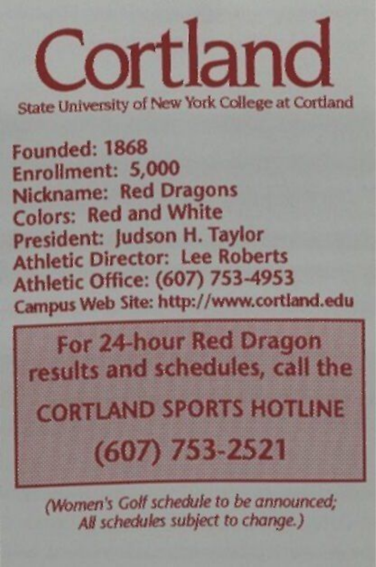

State University of New York College at Cortland

Founded: 1868 Enrollment: 5,000 Nickname: Red Dragons Colors: Red and White President: judson H. Taylor Athletic Director: Lee Roberts Athletic Office: (607) 753-4953 Campus Web Site: http://www.cortland.edu

For 24-hour Red Dragon results and schedules, call the

**CORTLAND SPORTS HOTLINE** 

 $(607) 753 - 2521$ 

*(Women's Coif schedule to be announced; All schedules subject to change.)*